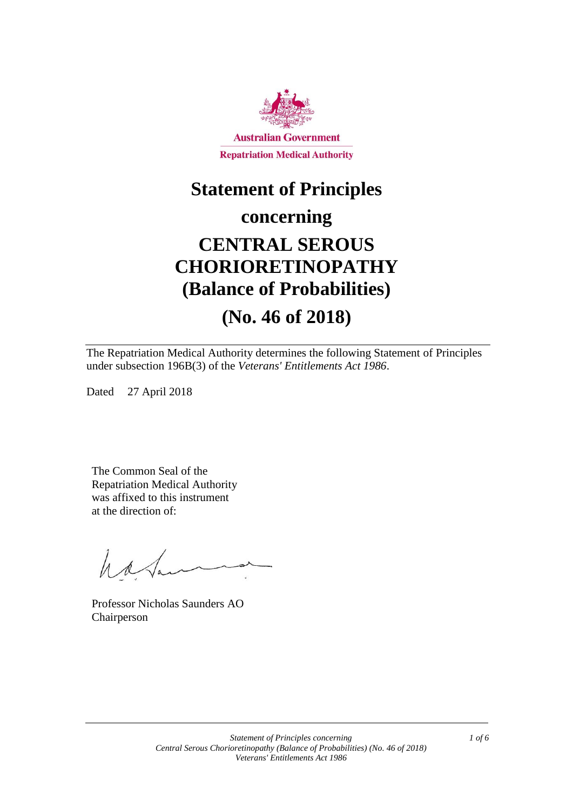

# **Statement of Principles**

### **concerning**

# **CENTRAL SEROUS CHORIORETINOPATHY (Balance of Probabilities)**

## **(No. 46 of 2018)**

The Repatriation Medical Authority determines the following Statement of Principles under subsection 196B(3) of the *Veterans' Entitlements Act 1986*.

Dated 27 April 2018

The Common Seal of the Repatriation Medical Authority was affixed to this instrument at the direction of:

have

Professor Nicholas Saunders AO Chairperson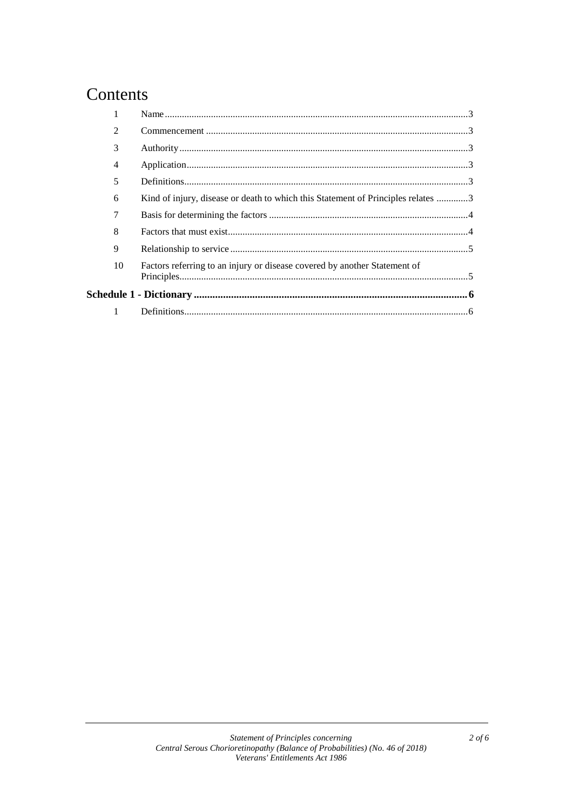### Contents

| $\mathfrak{D}$ |                                                                                  |  |
|----------------|----------------------------------------------------------------------------------|--|
| 3              |                                                                                  |  |
| 4              |                                                                                  |  |
| 5              |                                                                                  |  |
| 6              | Kind of injury, disease or death to which this Statement of Principles relates 3 |  |
| 7              |                                                                                  |  |
| 8              |                                                                                  |  |
| 9              |                                                                                  |  |
| 10             | Factors referring to an injury or disease covered by another Statement of        |  |
|                |                                                                                  |  |
| 1              |                                                                                  |  |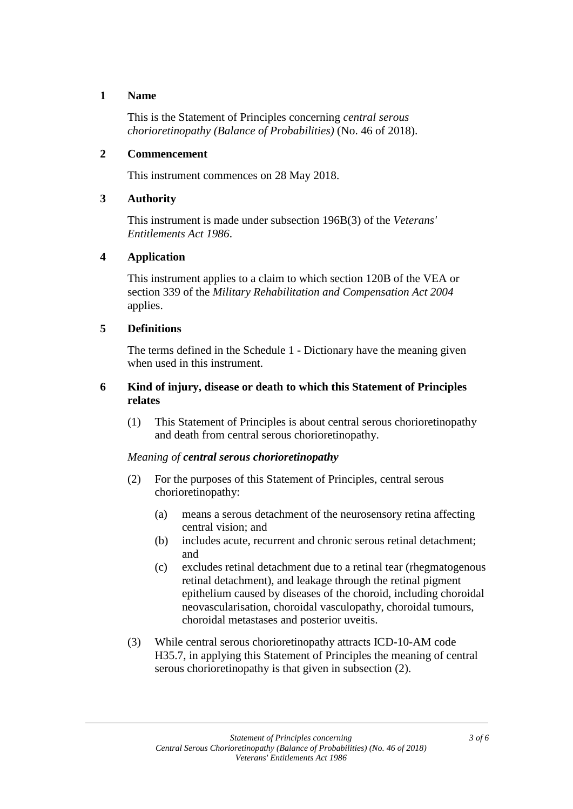#### **1 Name**

This is the Statement of Principles concerning *central serous chorioretinopathy (Balance of Probabilities)* (No. 46 of 2018).

#### **2 Commencement**

This instrument commences on 28 May 2018.

#### **3 Authority**

This instrument is made under subsection 196B(3) of the *Veterans' Entitlements Act 1986*.

#### **4 Application**

This instrument applies to a claim to which section 120B of the VEA or section 339 of the *Military Rehabilitation and Compensation Act 2004* applies.

#### **5 Definitions**

The terms defined in the Schedule 1 - Dictionary have the meaning given when used in this instrument.

#### **6 Kind of injury, disease or death to which this Statement of Principles relates**

(1) This Statement of Principles is about central serous chorioretinopathy and death from central serous chorioretinopathy.

#### *Meaning of central serous chorioretinopathy*

- (2) For the purposes of this Statement of Principles, central serous chorioretinopathy:
	- (a) means a serous detachment of the neurosensory retina affecting central vision; and
	- (b) includes acute, recurrent and chronic serous retinal detachment; and
	- (c) excludes retinal detachment due to a retinal tear (rhegmatogenous retinal detachment), and leakage through the retinal pigment epithelium caused by diseases of the choroid, including choroidal neovascularisation, choroidal vasculopathy, choroidal tumours, choroidal metastases and posterior uveitis.
- (3) While central serous chorioretinopathy attracts ICD-10-AM code H35.7, in applying this Statement of Principles the meaning of central serous chorioretinopathy is that given in subsection (2).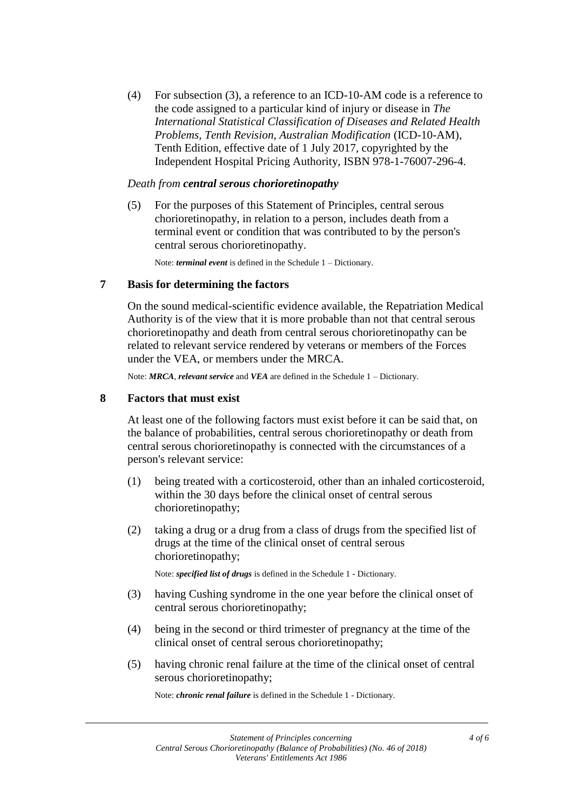(4) For subsection (3), a reference to an ICD-10-AM code is a reference to the code assigned to a particular kind of injury or disease in *The International Statistical Classification of Diseases and Related Health Problems, Tenth Revision, Australian Modification* (ICD-10-AM), Tenth Edition, effective date of 1 July 2017, copyrighted by the Independent Hospital Pricing Authority, ISBN 978-1-76007-296-4.

#### *Death from central serous chorioretinopathy*

(5) For the purposes of this Statement of Principles, central serous chorioretinopathy, in relation to a person, includes death from a terminal event or condition that was contributed to by the person's central serous chorioretinopathy.

Note: *terminal event* is defined in the Schedule 1 – Dictionary.

#### **7 Basis for determining the factors**

On the sound medical-scientific evidence available, the Repatriation Medical Authority is of the view that it is more probable than not that central serous chorioretinopathy and death from central serous chorioretinopathy can be related to relevant service rendered by veterans or members of the Forces under the VEA, or members under the MRCA.

Note: *MRCA*, *relevant service* and *VEA* are defined in the Schedule 1 – Dictionary.

#### **8 Factors that must exist**

At least one of the following factors must exist before it can be said that, on the balance of probabilities, central serous chorioretinopathy or death from central serous chorioretinopathy is connected with the circumstances of a person's relevant service:

- (1) being treated with a corticosteroid, other than an inhaled corticosteroid, within the 30 days before the clinical onset of central serous chorioretinopathy;
- (2) taking a drug or a drug from a class of drugs from the specified list of drugs at the time of the clinical onset of central serous chorioretinopathy;

Note: *specified list of drugs* is defined in the Schedule 1 - Dictionary.

- (3) having Cushing syndrome in the one year before the clinical onset of central serous chorioretinopathy;
- (4) being in the second or third trimester of pregnancy at the time of the clinical onset of central serous chorioretinopathy;
- (5) having chronic renal failure at the time of the clinical onset of central serous chorioretinopathy;

Note: *chronic renal failure* is defined in the Schedule 1 - Dictionary.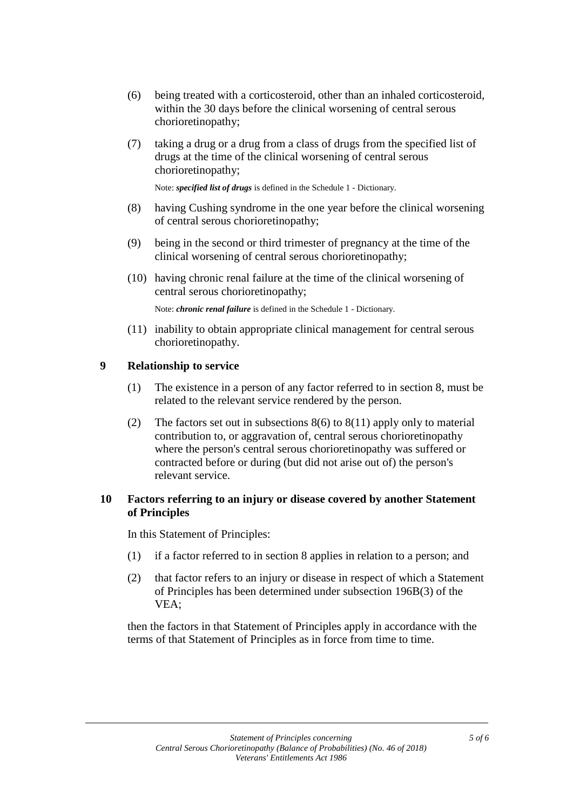- (6) being treated with a corticosteroid, other than an inhaled corticosteroid, within the 30 days before the clinical worsening of central serous chorioretinopathy;
- (7) taking a drug or a drug from a class of drugs from the specified list of drugs at the time of the clinical worsening of central serous chorioretinopathy;

Note: *specified list of drugs* is defined in the Schedule 1 - Dictionary.

- (8) having Cushing syndrome in the one year before the clinical worsening of central serous chorioretinopathy;
- (9) being in the second or third trimester of pregnancy at the time of the clinical worsening of central serous chorioretinopathy;
- (10) having chronic renal failure at the time of the clinical worsening of central serous chorioretinopathy;

Note: *chronic renal failure* is defined in the Schedule 1 - Dictionary.

(11) inability to obtain appropriate clinical management for central serous chorioretinopathy.

#### **9 Relationship to service**

- (1) The existence in a person of any factor referred to in section 8, must be related to the relevant service rendered by the person.
- (2) The factors set out in subsections  $8(6)$  to  $8(11)$  apply only to material contribution to, or aggravation of, central serous chorioretinopathy where the person's central serous chorioretinopathy was suffered or contracted before or during (but did not arise out of) the person's relevant service.

#### **10 Factors referring to an injury or disease covered by another Statement of Principles**

In this Statement of Principles:

- (1) if a factor referred to in section 8 applies in relation to a person; and
- (2) that factor refers to an injury or disease in respect of which a Statement of Principles has been determined under subsection 196B(3) of the VEA;

then the factors in that Statement of Principles apply in accordance with the terms of that Statement of Principles as in force from time to time.